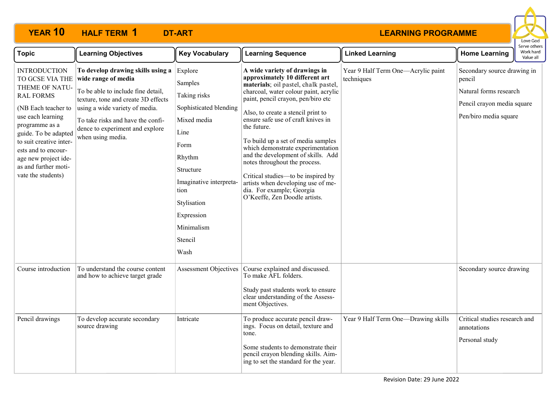## **YEAR 10 HALF TERM DT-ART 1**



| <b>Topic</b>                                                                                                                                                                                                                                                                               | <b>Learning Objectives</b>                                                                                                                                                                                                                                           | <b>Key Vocabulary</b>                                                                                                                                                                                               | <b>Learning Sequence</b>                                                                                                                                                                                                                                                                                                                                                                                                                                                                                                                                                      | <b>Linked Learning</b>                           | <b>Home Learning</b>                                                                                                   | Work hard<br>Value all |
|--------------------------------------------------------------------------------------------------------------------------------------------------------------------------------------------------------------------------------------------------------------------------------------------|----------------------------------------------------------------------------------------------------------------------------------------------------------------------------------------------------------------------------------------------------------------------|---------------------------------------------------------------------------------------------------------------------------------------------------------------------------------------------------------------------|-------------------------------------------------------------------------------------------------------------------------------------------------------------------------------------------------------------------------------------------------------------------------------------------------------------------------------------------------------------------------------------------------------------------------------------------------------------------------------------------------------------------------------------------------------------------------------|--------------------------------------------------|------------------------------------------------------------------------------------------------------------------------|------------------------|
| <b>INTRODUCTION</b><br>TO GCSE VIA THE<br>THEME OF NATU-<br><b>RAL FORMS</b><br>(NB Each teacher to<br>use each learning<br>programme as a<br>guide. To be adapted<br>to suit creative inter-<br>ests and to encour-<br>age new project ide-<br>as and further moti-<br>vate the students) | To develop drawing skills using a<br>wide range of media<br>To be able to include fine detail,<br>texture, tone and create 3D effects<br>using a wide variety of media.<br>To take risks and have the confi-<br>dence to experiment and explore<br>when using media. | Explore<br>Samples<br>Taking risks<br>Sophisticated blending<br>Mixed media<br>Line<br>Form<br>Rhythm<br>Structure<br>Imaginative interpreta-<br>tion<br>Stylisation<br>Expression<br>Minimalism<br>Stencil<br>Wash | A wide variety of drawings in<br>approximately 10 different art<br>materials; oil pastel, chalk pastel,<br>charcoal, water colour paint, acrylic<br>paint, pencil crayon, pen/biro etc<br>Also, to create a stencil print to<br>ensure safe use of craft knives in<br>the future.<br>To build up a set of media samples<br>which demonstrate experimentation<br>and the development of skills. Add<br>notes throughout the process.<br>Critical studies—to be inspired by<br>artists when developing use of me-<br>dia. For example; Georgia<br>O'Keeffe, Zen Doodle artists. | Year 9 Half Term One-Acrylic paint<br>techniques | Secondary source drawing in<br>pencil<br>Natural forms research<br>Pencil crayon media square<br>Pen/biro media square |                        |
| Course introduction                                                                                                                                                                                                                                                                        | To understand the course content<br>and how to achieve target grade                                                                                                                                                                                                  | <b>Assessment Objectives</b>                                                                                                                                                                                        | Course explained and discussed.<br>To make AFL folders.<br>Study past students work to ensure<br>clear understanding of the Assess-<br>ment Objectives.                                                                                                                                                                                                                                                                                                                                                                                                                       |                                                  | Secondary source drawing                                                                                               |                        |
| Pencil drawings                                                                                                                                                                                                                                                                            | To develop accurate secondary<br>source drawing                                                                                                                                                                                                                      | Intricate                                                                                                                                                                                                           | To produce accurate pencil draw-<br>ings. Focus on detail, texture and<br>tone.<br>Some students to demonstrate their<br>pencil crayon blending skills. Aim-<br>ing to set the standard for the year.                                                                                                                                                                                                                                                                                                                                                                         | Year 9 Half Term One-Drawing skills              | Critical studies research and<br>annotations<br>Personal study                                                         |                        |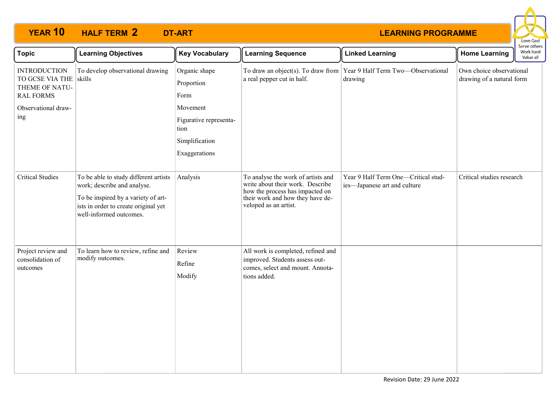# **YEAR 10 HALF TERM DT-ART 2**



| <b>Topic</b>                                                                                                      | <b>Learning Objectives</b>                                                                                                                                                     | <b>Key Vocabulary</b>                                                                                                | <b>Learning Sequence</b>                                                                                                                                               | <b>Linked Learning</b>                                                           | <b>Home Learning</b>                                  | Serve others<br>Work hard<br>Value all |
|-------------------------------------------------------------------------------------------------------------------|--------------------------------------------------------------------------------------------------------------------------------------------------------------------------------|----------------------------------------------------------------------------------------------------------------------|------------------------------------------------------------------------------------------------------------------------------------------------------------------------|----------------------------------------------------------------------------------|-------------------------------------------------------|----------------------------------------|
| <b>INTRODUCTION</b><br>TO GCSE VIA THE skills<br>THEME OF NATU-<br><b>RAL FORMS</b><br>Observational draw-<br>ing | To develop observational drawing                                                                                                                                               | Organic shape<br>Proportion<br>Form<br>Movement<br>Figurative representa-<br>tion<br>Simplification<br>Exaggerations | a real pepper cut in half.                                                                                                                                             | To draw an object(s). To draw from Year 9 Half Term Two-Observational<br>drawing | Own choice observational<br>drawing of a natural form |                                        |
| <b>Critical Studies</b>                                                                                           | To be able to study different artists<br>work; describe and analyse.<br>To be inspired by a variety of art-<br>ists in order to create original yet<br>well-informed outcomes. | Analysis                                                                                                             | To analyse the work of artists and<br>write about their work. Describe<br>how the process has impacted on<br>their work and how they have de-<br>veloped as an artist. | Year 9 Half Term One-Critical stud-<br>ies-Japanese art and culture              | Critical studies research                             |                                        |
| Project review and<br>consolidation of<br>outcomes                                                                | To learn how to review, refine and<br>modify outcomes.                                                                                                                         | Review<br>Refine<br>Modify                                                                                           | All work is completed, refined and<br>improved. Students assess out-<br>comes, select and mount. Annota-<br>tions added.                                               |                                                                                  |                                                       |                                        |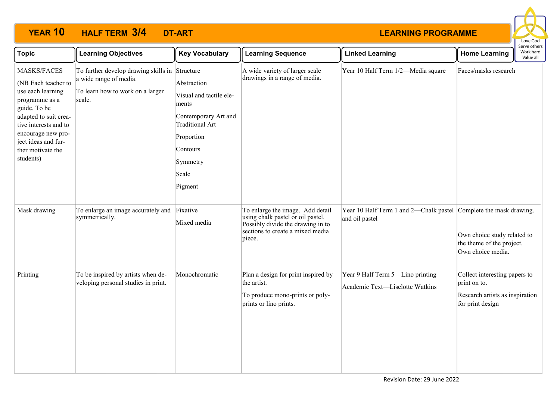# **YEAR 10 HALF TERM DT-ART 3/4**



| <b>Topic</b>                                                                                                                                                                                                               | <b>Learning Objectives</b>                                                                                             | <b>Key Vocabulary</b>                                                                                                                                       | <b>Learning Sequence</b>                                                                                                                                 | <b>Linked Learning</b>                                                              | <b>Home Learning</b>                                                                                 | Serve others<br>Work hard<br>Value all |
|----------------------------------------------------------------------------------------------------------------------------------------------------------------------------------------------------------------------------|------------------------------------------------------------------------------------------------------------------------|-------------------------------------------------------------------------------------------------------------------------------------------------------------|----------------------------------------------------------------------------------------------------------------------------------------------------------|-------------------------------------------------------------------------------------|------------------------------------------------------------------------------------------------------|----------------------------------------|
| MASKS/FACES<br>(NB Each teacher to<br>use each learning<br>programme as a<br>guide. To be<br>adapted to suit crea-<br>tive interests and to<br>encourage new pro-<br>ject ideas and fur-<br>ther motivate the<br>students) | To further develop drawing skills in Structure<br>a wide range of media.<br>To learn how to work on a larger<br>scale. | Abstraction<br>Visual and tactile ele-<br>ments<br>Contemporary Art and<br><b>Traditional Art</b><br>Proportion<br>Contours<br>Symmetry<br>Scale<br>Pigment | A wide variety of larger scale<br>drawings in a range of media.                                                                                          | Year 10 Half Term 1/2-Media square                                                  | Faces/masks research                                                                                 |                                        |
| Mask drawing                                                                                                                                                                                                               | To enlarge an image accurately and<br>symmetrically.                                                                   | Fixative<br>Mixed media                                                                                                                                     | To enlarge the image. Add detail<br>using chalk pastel or oil pastel.<br>Possibly divide the drawing in to<br>sections to create a mixed media<br>piece. | Year 10 Half Term 1 and 2—Chalk pastel Complete the mask drawing.<br>and oil pastel | Own choice study related to<br>the theme of the project.<br>Own choice media.                        |                                        |
| Printing                                                                                                                                                                                                                   | To be inspired by artists when de-<br>veloping personal studies in print.                                              | Monochromatic                                                                                                                                               | Plan a design for print inspired by<br>the artist.<br>To produce mono-prints or poly-<br>prints or lino prints.                                          | Year 9 Half Term 5-Lino printing<br>Academic Text-Liselotte Watkins                 | Collect interesting papers to<br>print on to.<br>Research artists as inspiration<br>for print design |                                        |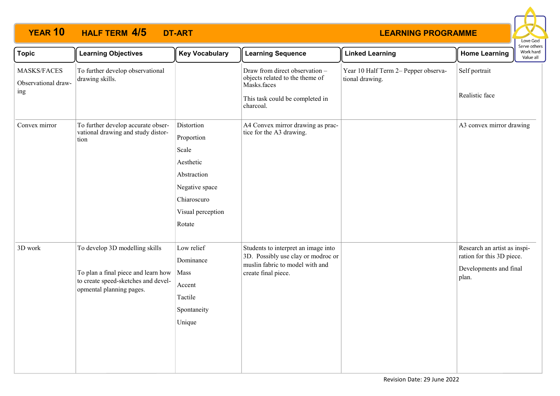# **YEAR 10 HALF TERM DT-ART 4/5**



| <b>Topic</b>                              | <b>Learning Objectives</b>                                                                                                               | <b>Key Vocabulary</b>                                                                                                         | <b>Learning Sequence</b>                                                                                                            | <b>Linked Learning</b>                                  | <b>Home Learning</b>                                                                         | Serve other:<br>Work hard<br>Value all |
|-------------------------------------------|------------------------------------------------------------------------------------------------------------------------------------------|-------------------------------------------------------------------------------------------------------------------------------|-------------------------------------------------------------------------------------------------------------------------------------|---------------------------------------------------------|----------------------------------------------------------------------------------------------|----------------------------------------|
| MASKS/FACES<br>Observational draw-<br>ing | To further develop observational<br>drawing skills.                                                                                      |                                                                                                                               | Draw from direct observation -<br>objects related to the theme of<br>Masks.faces<br>This task could be completed in<br>charcoal.    | Year 10 Half Term 2- Pepper observa-<br>tional drawing. | Self portrait<br>Realistic face                                                              |                                        |
| Convex mirror                             | To further develop accurate obser-<br>vational drawing and study distor-<br>tion                                                         | Distortion<br>Proportion<br>Scale<br>Aesthetic<br>Abstraction<br>Negative space<br>Chiaroscuro<br>Visual perception<br>Rotate | A4 Convex mirror drawing as prac-<br>tice for the A3 drawing.                                                                       |                                                         | A3 convex mirror drawing                                                                     |                                        |
| 3D work                                   | To develop 3D modelling skills<br>To plan a final piece and learn how<br>to create speed-sketches and devel-<br>opmental planning pages. | Low relief<br>Dominance<br>Mass<br>Accent<br>Tactile<br>Spontaneity<br>Unique                                                 | Students to interpret an image into<br>3D. Possibly use clay or modroc or<br>muslin fabric to model with and<br>create final piece. |                                                         | Research an artist as inspi-<br>ration for this 3D piece.<br>Developments and final<br>plan. |                                        |